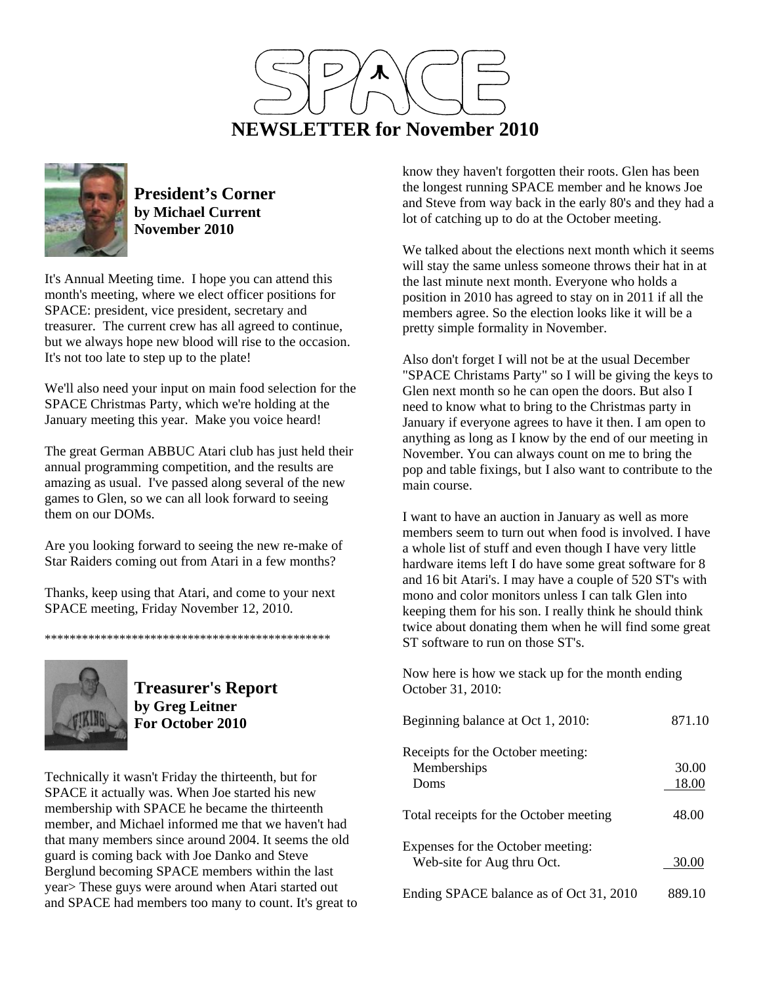



**President's Corner by Michael Current November 2010**

It's Annual Meeting time. I hope you can attend this month's meeting, where we elect officer positions for SPACE: president, vice president, secretary and treasurer. The current crew has all agreed to continue, but we always hope new blood will rise to the occasion. It's not too late to step up to the plate!

We'll also need your input on main food selection for the SPACE Christmas Party, which we're holding at the January meeting this year. Make you voice heard!

The great German ABBUC Atari club has just held their annual programming competition, and the results are amazing as usual. I've passed along several of the new games to Glen, so we can all look forward to seeing them on our DOMs.

Are you looking forward to seeing the new re-make of Star Raiders coming out from Atari in a few months?

Thanks, keep using that Atari, and come to your next SPACE meeting, Friday November 12, 2010.

\*\*\*\*\*\*\*\*\*\*\*\*\*\*\*\*\*\*\*\*\*\*\*\*\*\*\*\*\*\*\*\*\*\*\*\*\*\*\*\*\*\*\*\*\*\*



**Treasurer's Report by Greg Leitner For October 2010** 

Technically it wasn't Friday the thirteenth, but for SPACE it actually was. When Joe started his new membership with SPACE he became the thirteenth member, and Michael informed me that we haven't had that many members since around 2004. It seems the old guard is coming back with Joe Danko and Steve Berglund becoming SPACE members within the last year> These guys were around when Atari started out and SPACE had members too many to count. It's great to know they haven't forgotten their roots. Glen has been the longest running SPACE member and he knows Joe and Steve from way back in the early 80's and they had a lot of catching up to do at the October meeting.

We talked about the elections next month which it seems will stay the same unless someone throws their hat in at the last minute next month. Everyone who holds a position in 2010 has agreed to stay on in 2011 if all the members agree. So the election looks like it will be a pretty simple formality in November.

Also don't forget I will not be at the usual December "SPACE Christams Party" so I will be giving the keys to Glen next month so he can open the doors. But also I need to know what to bring to the Christmas party in January if everyone agrees to have it then. I am open to anything as long as I know by the end of our meeting in November. You can always count on me to bring the pop and table fixings, but I also want to contribute to the main course.

I want to have an auction in January as well as more members seem to turn out when food is involved. I have a whole list of stuff and even though I have very little hardware items left I do have some great software for 8 and 16 bit Atari's. I may have a couple of 520 ST's with mono and color monitors unless I can talk Glen into keeping them for his son. I really think he should think twice about donating them when he will find some great ST software to run on those ST's.

Now here is how we stack up for the month ending October 31, 2010:

| Beginning balance at Oct 1, 2010:                               | 871.10         |
|-----------------------------------------------------------------|----------------|
| Receipts for the October meeting:<br>Memberships<br>Doms        | 30.00<br>18.00 |
| Total receipts for the October meeting                          | 48.00          |
| Expenses for the October meeting:<br>Web-site for Aug thru Oct. | 30.00          |
| Ending SPACE balance as of Oct 31, 2010                         | 889.10         |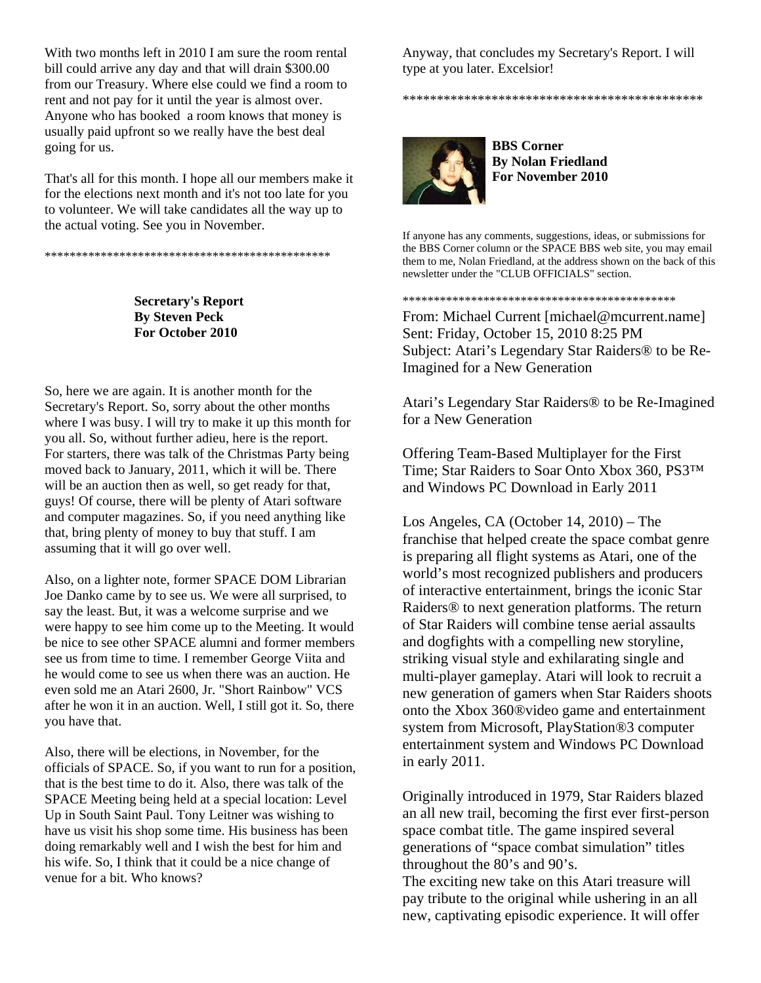With two months left in 2010 I am sure the room rental bill could arrive any day and that will drain \$300.00 from our Treasury. Where else could we find a room to rent and not pay for it until the year is almost over. Anyone who has booked a room knows that money is usually paid upfront so we really have the best deal going for us.

That's all for this month. I hope all our members make it for the elections next month and it's not too late for you to volunteer. We will take candidates all the way up to the actual voting. See you in November.

\*\*\*\*\*\*\*\*\*\*\*\*\*\*\*\*\*\*\*\*\*\*\*\*\*\*\*\*\*\*\*\*\*\*\*\*\*\*\*\*\*\*\*\*\*\*

**Secretary's Report By Steven Peck For October 2010** 

So, here we are again. It is another month for the Secretary's Report. So, sorry about the other months where I was busy. I will try to make it up this month for you all. So, without further adieu, here is the report. For starters, there was talk of the Christmas Party being moved back to January, 2011, which it will be. There will be an auction then as well, so get ready for that, guys! Of course, there will be plenty of Atari software and computer magazines. So, if you need anything like that, bring plenty of money to buy that stuff. I am assuming that it will go over well.

Also, on a lighter note, former SPACE DOM Librarian Joe Danko came by to see us. We were all surprised, to say the least. But, it was a welcome surprise and we were happy to see him come up to the Meeting. It would be nice to see other SPACE alumni and former members see us from time to time. I remember George Viita and he would come to see us when there was an auction. He even sold me an Atari 2600, Jr. "Short Rainbow" VCS after he won it in an auction. Well, I still got it. So, there you have that.

Also, there will be elections, in November, for the officials of SPACE. So, if you want to run for a position, that is the best time to do it. Also, there was talk of the SPACE Meeting being held at a special location: Level Up in South Saint Paul. Tony Leitner was wishing to have us visit his shop some time. His business has been doing remarkably well and I wish the best for him and his wife. So, I think that it could be a nice change of venue for a bit. Who knows?

Anyway, that concludes my Secretary's Report. I will type at you later. Excelsior!

\*\*\*\*\*\*\*\*\*\*\*\*\*\*\*\*\*\*\*\*\*\*\*\*\*\*\*\*\*\*\*\*\*\*\*\*\*\*\*\*\*\*\*\*

**BBS Corner By Nolan Friedland For November 2010** 

If anyone has any comments, suggestions, ideas, or submissions for the BBS Corner column or the SPACE BBS web site, you may email them to me, Nolan Friedland, at the address shown on the back of this newsletter under the "CLUB OFFICIALS" section.

\*\*\*\*\*\*\*\*\*\*\*\*\*\*\*\*\*\*\*\*\*\*\*\*\*\*\*\*\*\*\*\*\*\*\*\*\*\*\*\*\*\*\*\*

From: Michael Current [michael@mcurrent.name] Sent: Friday, October 15, 2010 8:25 PM Subject: Atari's Legendary Star Raiders® to be Re-Imagined for a New Generation

Atari's Legendary Star Raiders® to be Re-Imagined for a New Generation

Offering Team-Based Multiplayer for the First Time; Star Raiders to Soar Onto Xbox 360, PS3™ and Windows PC Download in Early 2011

Los Angeles, CA (October 14, 2010) – The franchise that helped create the space combat genre is preparing all flight systems as Atari, one of the world's most recognized publishers and producers of interactive entertainment, brings the iconic Star Raiders® to next generation platforms. The return of Star Raiders will combine tense aerial assaults and dogfights with a compelling new storyline, striking visual style and exhilarating single and multi-player gameplay. Atari will look to recruit a new generation of gamers when Star Raiders shoots onto the Xbox 360®video game and entertainment system from Microsoft, PlayStation®3 computer entertainment system and Windows PC Download in early 2011.

Originally introduced in 1979, Star Raiders blazed an all new trail, becoming the first ever first-person space combat title. The game inspired several generations of "space combat simulation" titles throughout the 80's and 90's.

The exciting new take on this Atari treasure will pay tribute to the original while ushering in an all new, captivating episodic experience. It will offer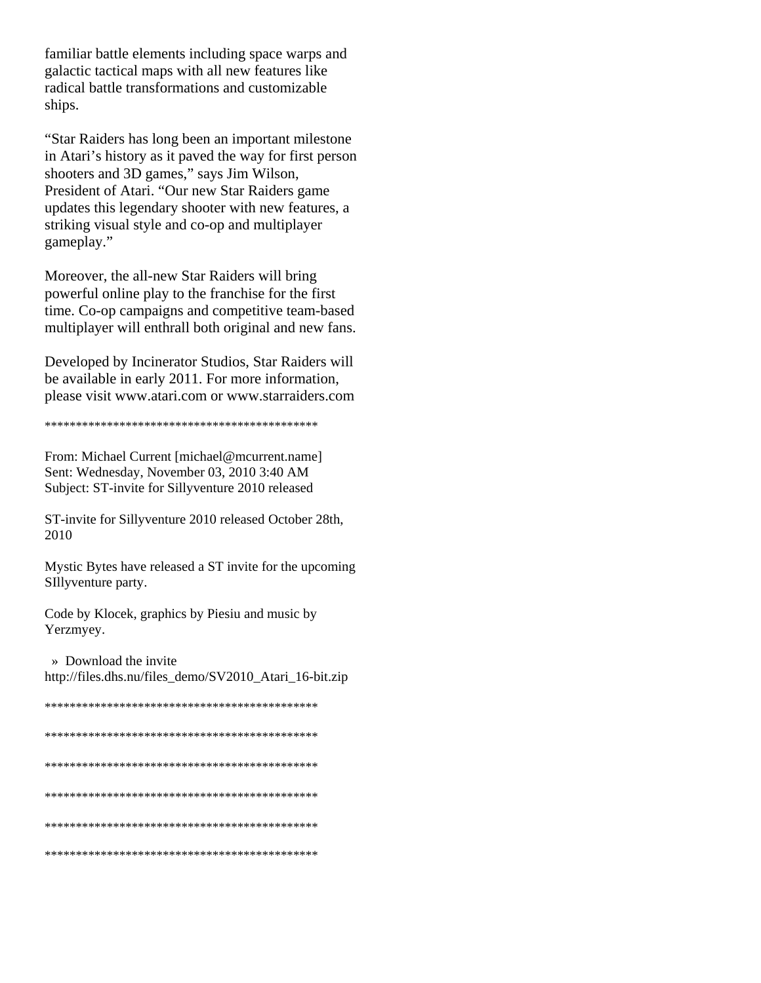familiar battle elements including space warps and galactic tactical maps with all new features like radical battle transformations and customizable ships.

"Star Raiders has long been an important milestone" in Atari's history as it paved the way for first person shooters and 3D games," says Jim Wilson, President of Atari. "Our new Star Raiders game updates this legendary shooter with new features, a striking visual style and co-op and multiplayer gameplay."

Moreover, the all-new Star Raiders will bring powerful online play to the franchise for the first time. Co-op campaigns and competitive team-based multiplayer will enthrall both original and new fans.

Developed by Incinerator Studios, Star Raiders will be available in early 2011. For more information, please visit www.atari.com or www.starraiders.com

From: Michael Current [michael@mcurrent.name] Sent: Wednesday, November 03, 2010 3:40 AM Subject: ST-invite for Sillyventure 2010 released

ST-invite for Sillyventure 2010 released October 28th, 2010

Mystic Bytes have released a ST invite for the upcoming SIllyventure party.

Code by Klocek, graphics by Piesiu and music by Yerzmyey.

» Download the invite

http://files.dhs.nu/files\_demo/SV2010\_Atari\_16-bit.zip